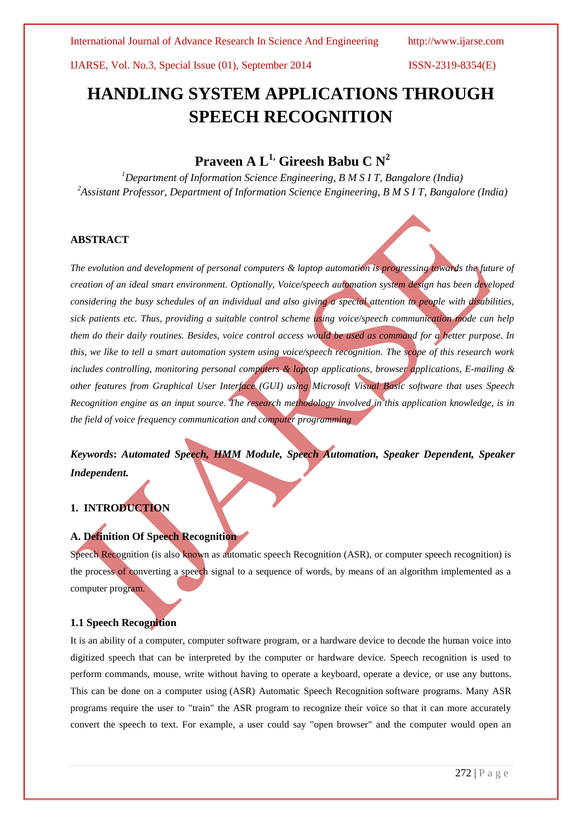# **HANDLING SYSTEM APPLICATIONS THROUGH SPEECH RECOGNITION**

# **Praveen A L1, Gireesh Babu C N<sup>2</sup>**

*<sup>1</sup>Department of Information Science Engineering, B M S I T, Bangalore (India) <sup>2</sup>Assistant Professor, Department of Information Science Engineering, B M S I T, Bangalore (India)*

# **ABSTRACT**

*The evolution and development of personal computers & laptop automation is progressing towards the future of creation of an ideal smart environment. Optionally, Voice/speech automation system design has been developed considering the busy schedules of an individual and also giving a special attention to people with disabilities, sick patients etc. Thus, providing a suitable control scheme using voice/speech communication mode can help them do their daily routines. Besides, voice control access would be used as command for a better purpose. In this, we like to tell a smart automation system using voice/speech recognition. The scope of this research work includes controlling, monitoring personal computers & laptop applications, browser applications, E-mailing & other features from Graphical User Interface (GUI) using Microsoft Visual Basic software that uses Speech Recognition engine as an input source. The research methodology involved in this application knowledge, is in the field of voice frequency communication and computer programming*

*Keywords***:** *Automated Speech, HMM Module, Speech Automation, Speaker Dependent, Speaker Independent.*

# **1. INTRODUCTION**

# **A. Definition Of Speech Recognition**

Speech Recognition (is also known as automatic speech Recognition (ASR), or computer speech recognition) is the process of converting a speech signal to a sequence of words, by means of an algorithm implemented as a computer program.

# **1.1 Speech Recognition**

It is an ability of a computer, computer software program, or a hardware device to decode the human voice into digitized speech that can be interpreted by the computer or hardware device. Speech recognition is used to perform commands, mouse, write without having to operate a keyboard, operate a device, or use any buttons. This can be done on a computer using (ASR) Automatic Speech Recognition software programs. Many ASR programs require the user to "train" the ASR program to recognize their voice so that it can more accurately convert the speech to text. For example, a user could say "open browser" and the computer would open an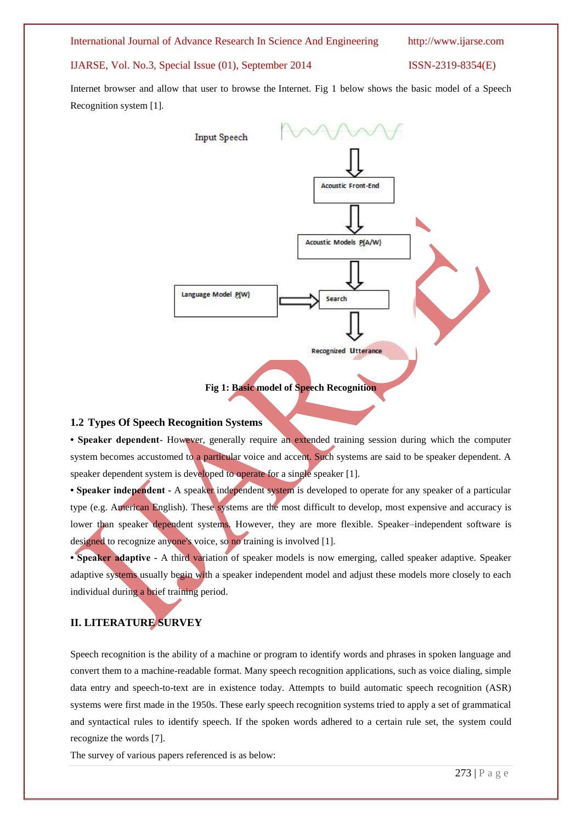International Journal of Advance Research In Science And Engineering http://www.ijarse.com

IJARSE, Vol. No.3, Special Issue (01), September 2014 ISSN-2319-8354(E)

Internet browser and allow that user to browse the Internet. Fig 1 below shows the basic model of a Speech Recognition system [1].



#### **1.2 Types Of Speech Recognition Systems**

**• Speaker dependent**- However, generally require an extended training session during which the computer system becomes accustomed to a particular voice and accent. Such systems are said to be speaker dependent. A speaker dependent system is developed to operate for a single speaker [1].

**• Speaker independent -** A speaker independent system is developed to operate for any speaker of a particular type (e.g. American English). These systems are the most difficult to develop, most expensive and accuracy is lower than speaker dependent systems. However, they are more flexible. Speaker-independent software is designed to recognize anyone's voice, so no training is involved [1].

**• Speaker adaptive -** A third variation of speaker models is now emerging, called speaker adaptive. Speaker adaptive systems usually begin with a speaker independent model and adjust these models more closely to each individual during a brief training period.

# **II. LITERATURE SURVEY**

Speech recognition is the ability of a machine or program to identify words and phrases in spoken language and convert them to a machine-readable format. Many speech recognition applications, such as voice dialing, simple data entry and speech-to-text are in existence today. Attempts to build automatic speech recognition (ASR) systems were first made in the 1950s. These early speech recognition systems tried to apply a set of grammatical and syntactical rules to identify speech. If the spoken words adhered to a certain rule set, the system could recognize the words [7].

The survey of various papers referenced is as below: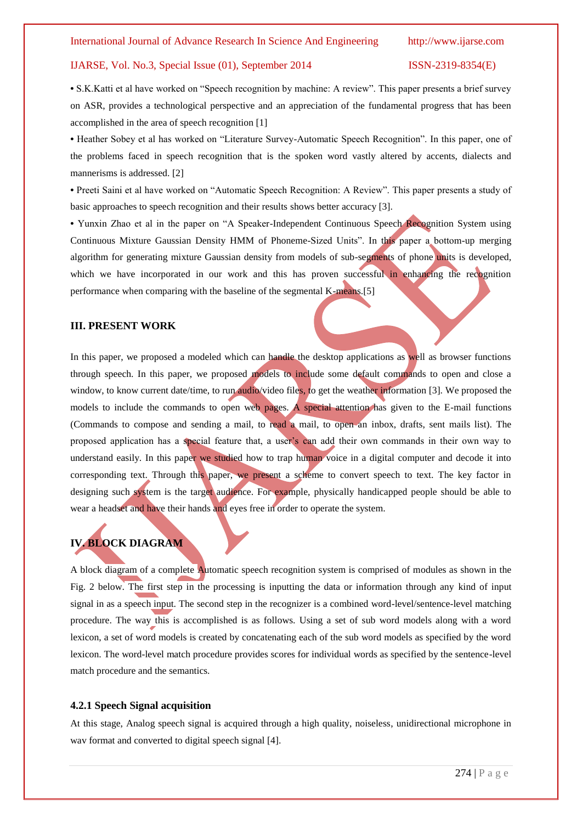**•** S.K.Katti et al have worked on "Speech recognition by machine: A review". This paper presents a brief survey on ASR, provides a technological perspective and an appreciation of the fundamental progress that has been accomplished in the area of speech recognition [1]

**•** Heather Sobey et al has worked on "Literature Survey-Automatic Speech Recognition". In this paper, one of the problems faced in speech recognition that is the spoken word vastly altered by accents, dialects and mannerisms is addressed. [2]

**•** Preeti Saini et al have worked on "Automatic Speech Recognition: A Review". This paper presents a study of basic approaches to speech recognition and their results shows better accuracy [3].

**•** Yunxin Zhao et al in the paper on "A Speaker-Independent Continuous Speech Recognition System using Continuous Mixture Gaussian Density HMM of Phoneme-Sized Units". In this paper a bottom-up merging algorithm for generating mixture Gaussian density from models of sub-segments of phone units is developed, which we have incorporated in our work and this has proven successful in enhancing the recognition performance when comparing with the baseline of the segmental K-means.[5]

### **III. PRESENT WORK**

In this paper, we proposed a modeled which can handle the desktop applications as well as browser functions through speech. In this paper, we proposed models to include some default commands to open and close a window, to know current date/time, to run audio/video files, to get the weather information [3]. We proposed the models to include the commands to open web pages. A special attention has given to the E-mail functions (Commands to compose and sending a mail, to read a mail, to open an inbox, drafts, sent mails list). The proposed application has a special feature that, a user's can add their own commands in their own way to understand easily. In this paper we studied how to trap human voice in a digital computer and decode it into corresponding text. Through this paper, we present a scheme to convert speech to text. The key factor in designing such system is the target audience. For example, physically handicapped people should be able to wear a headset and have their hands and eyes free in order to operate the system.

# **IV. BLOCK DIAGRAM**

A block diagram of a complete Automatic speech recognition system is comprised of modules as shown in the Fig. 2 below. The first step in the processing is inputting the data or information through any kind of input signal in as a speech input. The second step in the recognizer is a combined word-level/sentence-level matching procedure. The way this is accomplished is as follows. Using a set of sub word models along with a word lexicon, a set of word models is created by concatenating each of the sub word models as specified by the word lexicon. The word-level match procedure provides scores for individual words as specified by the sentence-level match procedure and the semantics.

#### **4.2.1 Speech Signal acquisition**

At this stage, Analog speech signal is acquired through a high quality, noiseless, unidirectional microphone in wav format and converted to digital speech signal [4].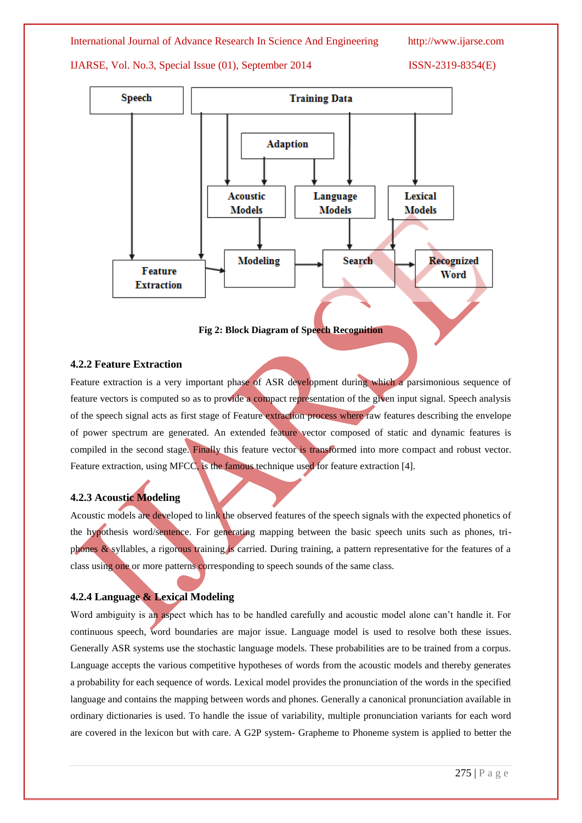## International Journal of Advance Research In Science And Engineering http://www.ijarse.com

IJARSE, Vol. No.3, Special Issue (01), September 2014 ISSN-2319-8354(E)



**Fig 2: Block Diagram of Speech Recognition**

# **4.2.2 Feature Extraction**

Feature extraction is a very important phase of ASR development during which a parsimonious sequence of feature vectors is computed so as to provide a compact representation of the given input signal. Speech analysis of the speech signal acts as first stage of Feature extraction process where raw features describing the envelope of power spectrum are generated. An extended feature vector composed of static and dynamic features is compiled in the second stage. Finally this feature vector is transformed into more compact and robust vector. Feature extraction, using MFCC, is the famous technique used for feature extraction [4].

# **4.2.3 Acoustic Modeling**

Acoustic models are developed to link the observed features of the speech signals with the expected phonetics of the hypothesis word/sentence. For generating mapping between the basic speech units such as phones, triphones & syllables, a rigorous training is carried. During training, a pattern representative for the features of a class using one or more patterns corresponding to speech sounds of the same class.

# **4.2.4 Language & Lexical Modeling**

Word ambiguity is an aspect which has to be handled carefully and acoustic model alone can't handle it. For continuous speech, word boundaries are major issue. Language model is used to resolve both these issues. Generally ASR systems use the stochastic language models. These probabilities are to be trained from a corpus. Language accepts the various competitive hypotheses of words from the acoustic models and thereby generates a probability for each sequence of words. Lexical model provides the pronunciation of the words in the specified language and contains the mapping between words and phones. Generally a canonical pronunciation available in ordinary dictionaries is used. To handle the issue of variability, multiple pronunciation variants for each word are covered in the lexicon but with care. A G2P system- Grapheme to Phoneme system is applied to better the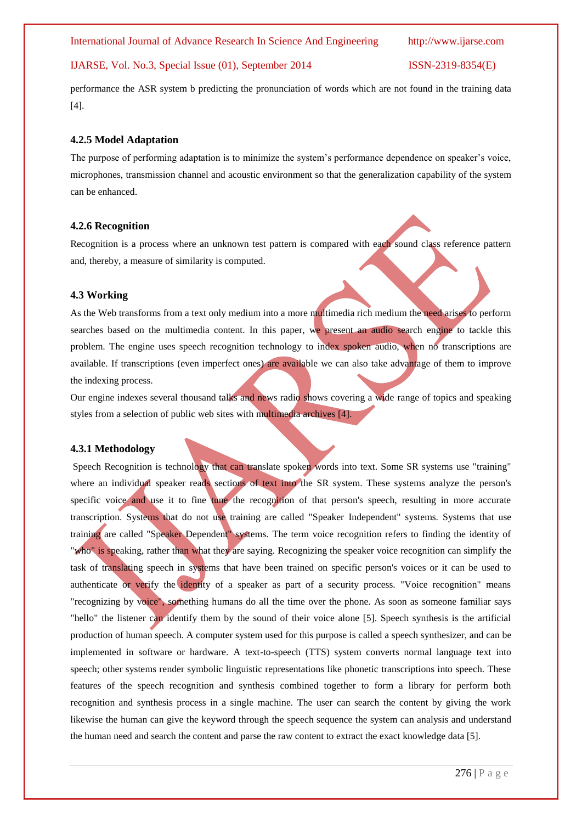performance the ASR system b predicting the pronunciation of words which are not found in the training data [4].

#### **4.2.5 Model Adaptation**

The purpose of performing adaptation is to minimize the system's performance dependence on speaker's voice, microphones, transmission channel and acoustic environment so that the generalization capability of the system can be enhanced.

#### **4.2.6 Recognition**

Recognition is a process where an unknown test pattern is compared with each sound class reference pattern and, thereby, a measure of similarity is computed.

#### **4.3 Working**

As the Web transforms from a text only medium into a more multimedia rich medium the need arises to perform searches based on the multimedia content. In this paper, we present an audio search engine to tackle this problem. The engine uses speech recognition technology to index spoken audio, when no transcriptions are available. If transcriptions (even imperfect ones) are available we can also take advantage of them to improve the indexing process.

Our engine indexes several thousand talks and news radio shows covering a wide range of topics and speaking styles from a selection of public web sites with multimedia archives [4].

#### **4.3.1 Methodology**

Speech Recognition is technology that can translate spoken words into text. Some SR systems use "training" where an individual speaker reads sections of text into the SR system. These systems analyze the person's specific voice and use it to fine tune the recognition of that person's speech, resulting in more accurate transcription. Systems that do not use training are called "Speaker Independent" systems. Systems that use training are called "Speaker Dependent" systems. The term voice recognition refers to finding the identity of "who" is speaking, rather than what they are saying. Recognizing the speaker voice recognition can simplify the task of translating speech in systems that have been trained on specific person's voices or it can be used to authenticate or verify the identity of a speaker as part of a security process. "Voice recognition" means "recognizing by voice", something humans do all the time over the phone. As soon as someone familiar says "hello" the listener can identify them by the sound of their voice alone [5]. Speech synthesis is the artificial production of human speech. A computer system used for this purpose is called a speech synthesizer, and can be implemented in software or hardware. A text-to-speech (TTS) system converts normal language text into speech; other systems render symbolic linguistic representations like phonetic transcriptions into speech. These features of the speech recognition and synthesis combined together to form a library for perform both recognition and synthesis process in a single machine. The user can search the content by giving the work likewise the human can give the keyword through the speech sequence the system can analysis and understand the human need and search the content and parse the raw content to extract the exact knowledge data [5].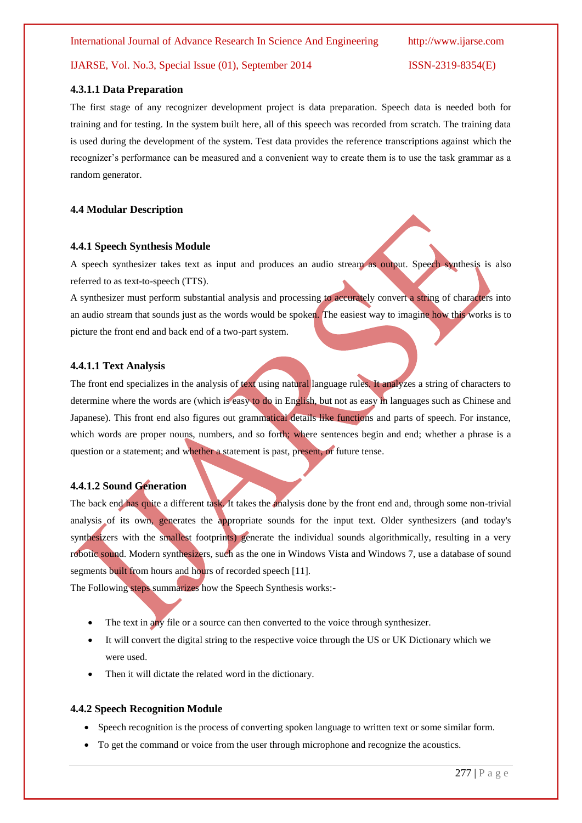#### **4.3.1.1 Data Preparation**

The first stage of any recognizer development project is data preparation. Speech data is needed both for training and for testing. In the system built here, all of this speech was recorded from scratch. The training data is used during the development of the system. Test data provides the reference transcriptions against which the recognizer's performance can be measured and a convenient way to create them is to use the task grammar as a random generator.

# **4.4 Modular Description**

#### **4.4.1 Speech Synthesis Module**

A speech synthesizer takes text as input and produces an audio stream as output. Speech synthesis is also referred to as text-to-speech (TTS).

A synthesizer must perform substantial analysis and processing to accurately convert a string of characters into an audio stream that sounds just as the words would be spoken. The easiest way to imagine how this works is to picture the front end and back end of a two-part system.

### **4.4.1.1 Text Analysis**

The front end specializes in the analysis of text using natural language rules. It analyzes a string of characters to determine where the words are (which is easy to do in English, but not as easy in languages such as Chinese and Japanese). This front end also figures out grammatical details like functions and parts of speech. For instance, which words are proper nouns, numbers, and so forth; where sentences begin and end; whether a phrase is a question or a statement; and whether a statement is past, present, or future tense.

# **4.4.1.2 Sound Generation**

The back end has quite a different task. It takes the analysis done by the front end and, through some non-trivial analysis of its own, generates the appropriate sounds for the input text. Older synthesizers (and today's synthesizers with the smallest footprints) generate the individual sounds algorithmically, resulting in a very robotic sound. Modern synthesizers, such as the one in Windows Vista and Windows 7, use a database of sound segments built from hours and hours of recorded speech [11].

The Following steps summarizes how the Speech Synthesis works:-

- The text in any file or a source can then converted to the voice through synthesizer.
- It will convert the digital string to the respective voice through the US or UK Dictionary which we were used.
- Then it will dictate the related word in the dictionary.

#### **4.4.2 Speech Recognition Module**

- Speech recognition is the process of converting spoken language to written text or some similar form.
- To get the command or voice from the user through microphone and recognize the acoustics.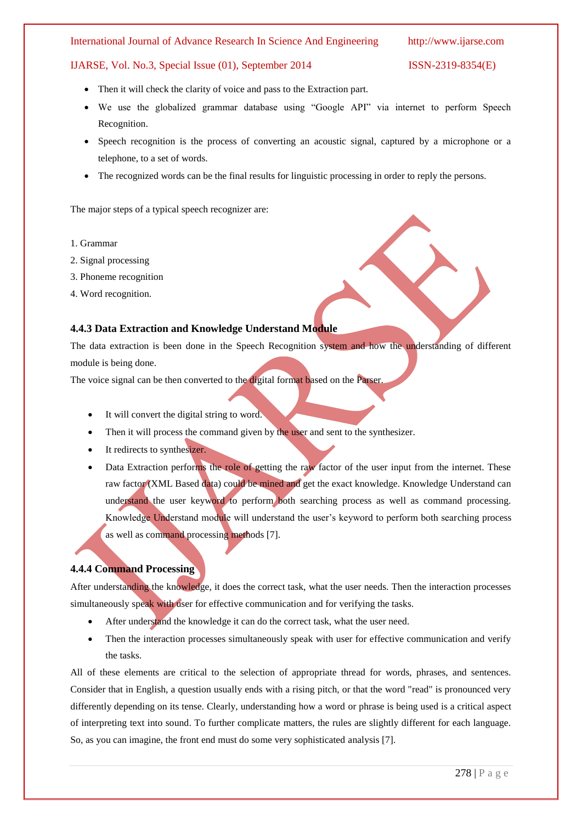#### International Journal of Advance Research In Science And Engineering http://www.ijarse.com

### IJARSE, Vol. No.3, Special Issue (01), September 2014 ISSN-2319-8354(E)

- Then it will check the clarity of voice and pass to the Extraction part.
- We use the globalized grammar database using "Google API" via internet to perform Speech Recognition.
- Speech recognition is the process of converting an acoustic signal, captured by a microphone or a telephone, to a set of words.
- The recognized words can be the final results for linguistic processing in order to reply the persons.

The major steps of a typical speech recognizer are:

- 1. Grammar
- 2. Signal processing
- 3. Phoneme recognition
- 4. Word recognition.

## **4.4.3 Data Extraction and Knowledge Understand Module**

The data extraction is been done in the Speech Recognition system and how the understanding of different module is being done.

The voice signal can be then converted to the digital format based on the Parser.

- It will convert the digital string to word.
- Then it will process the command given by the user and sent to the synthesizer.
- It redirects to synthesizer.
- Data Extraction performs the role of getting the raw factor of the user input from the internet. These raw factor (XML Based data) could be mined and get the exact knowledge. Knowledge Understand can understand the user keyword to perform both searching process as well as command processing. Knowledge Understand module will understand the user's keyword to perform both searching process as well as command processing methods [7].

# **4.4.4 Command Processing**

After understanding the knowledge, it does the correct task, what the user needs. Then the interaction processes simultaneously speak with user for effective communication and for verifying the tasks.

- After understand the knowledge it can do the correct task, what the user need.
- Then the interaction processes simultaneously speak with user for effective communication and verify the tasks.

All of these elements are critical to the selection of appropriate thread for words, phrases, and sentences. Consider that in English, a question usually ends with a rising pitch, or that the word "read" is pronounced very differently depending on its tense. Clearly, understanding how a word or phrase is being used is a critical aspect of interpreting text into sound. To further complicate matters, the rules are slightly different for each language. So, as you can imagine, the front end must do some very sophisticated analysis [7].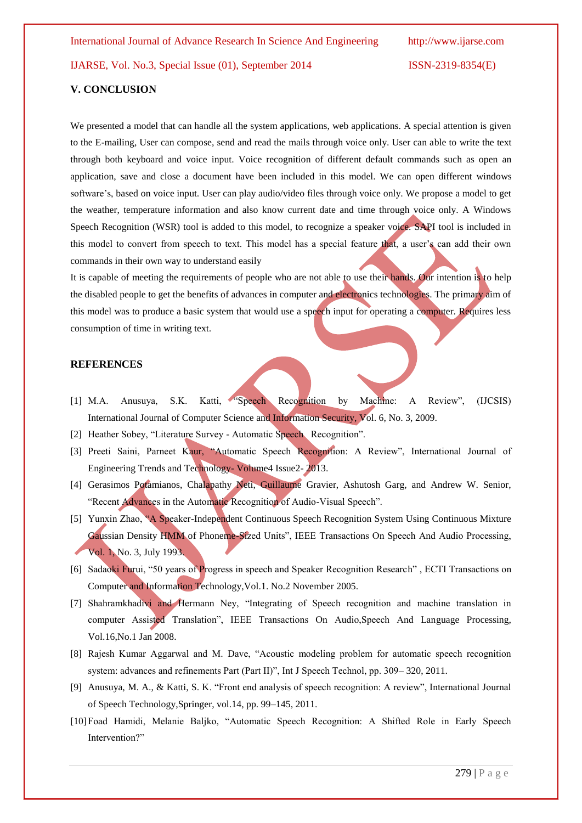#### **V. CONCLUSION**

We presented a model that can handle all the system applications, web applications. A special attention is given to the E-mailing, User can compose, send and read the mails through voice only. User can able to write the text through both keyboard and voice input. Voice recognition of different default commands such as open an application, save and close a document have been included in this model. We can open different windows software's, based on voice input. User can play audio/video files through voice only. We propose a model to get the weather, temperature information and also know current date and time through voice only. A Windows Speech Recognition (WSR) tool is added to this model, to recognize a speaker voice. SAPI tool is included in this model to convert from speech to text. This model has a special feature that, a user's can add their own commands in their own way to understand easily

It is capable of meeting the requirements of people who are not able to use their hands. Our intention is to help the disabled people to get the benefits of advances in computer and electronics technologies. The primary aim of this model was to produce a basic system that would use a speech input for operating a computer. Requires less consumption of time in writing text.

#### **REFERENCES**

- [1] M.A. Anusuya, S.K. Katti, "Speech Recognition by Machine: A Review", (IJCSIS) International Journal of Computer Science and Information Security, Vol. 6, No. 3, 2009.
- [2] Heather Sobey, "Literature Survey Automatic Speech Recognition".
- [3] Preeti Saini, Parneet Kaur, "Automatic Speech Recognition: A Review", International Journal of Engineering Trends and Technology- Volume4 Issue2- 2013.
- [4] Gerasimos Potamianos, Chalapathy Neti, Guillaume Gravier, Ashutosh Garg, and Andrew W. Senior, "Recent Advances in the Automatic Recognition of Audio-Visual Speech".
- [5] Yunxin Zhao, "A Speaker-Independent Continuous Speech Recognition System Using Continuous Mixture Gaussian Density HMM of Phoneme-Sized Units", IEEE Transactions On Speech And Audio Processing, Vol. 1, No. 3, July 1993.
- [6] Sadaoki Furui, "50 years of Progress in speech and Speaker Recognition Research" , ECTI Transactions on Computer and Information Technology,Vol.1. No.2 November 2005.
- [7] Shahramkhadivi and Hermann Ney, "Integrating of Speech recognition and machine translation in computer Assisted Translation", IEEE Transactions On Audio,Speech And Language Processing, Vol.16,No.1 Jan 2008.
- [8] Rajesh Kumar Aggarwal and M. Dave, "Acoustic modeling problem for automatic speech recognition system: advances and refinements Part (Part II)", Int J Speech Technol, pp. 309– 320, 2011.
- [9] Anusuya, M. A., & Katti, S. K. "Front end analysis of speech recognition: A review", International Journal of Speech Technology,Springer, vol.14, pp. 99–145, 2011.
- [10]Foad Hamidi, Melanie Baljko, "Automatic Speech Recognition: A Shifted Role in Early Speech Intervention?"